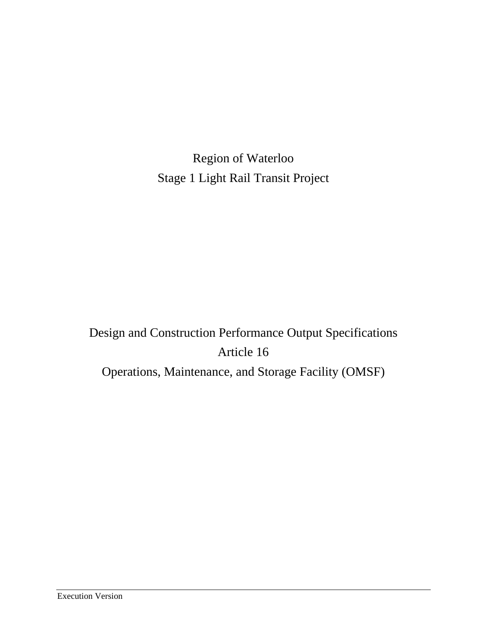Region of Waterloo Stage 1 Light Rail Transit Project

# Design and Construction Performance Output Specifications Article 16 Operations, Maintenance, and Storage Facility (OMSF)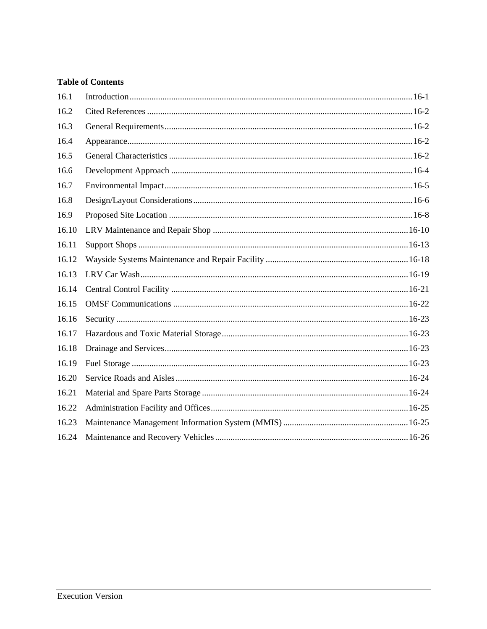# **Table of Contents**

| 16.1  |  |
|-------|--|
| 16.2  |  |
| 16.3  |  |
| 16.4  |  |
| 16.5  |  |
| 16.6  |  |
| 16.7  |  |
| 16.8  |  |
| 16.9  |  |
| 16.10 |  |
| 16.11 |  |
| 16.12 |  |
| 16.13 |  |
| 16.14 |  |
| 16.15 |  |
| 16.16 |  |
| 16.17 |  |
| 16.18 |  |
| 16.19 |  |
| 16.20 |  |
| 16.21 |  |
| 16.22 |  |
| 16.23 |  |
| 16.24 |  |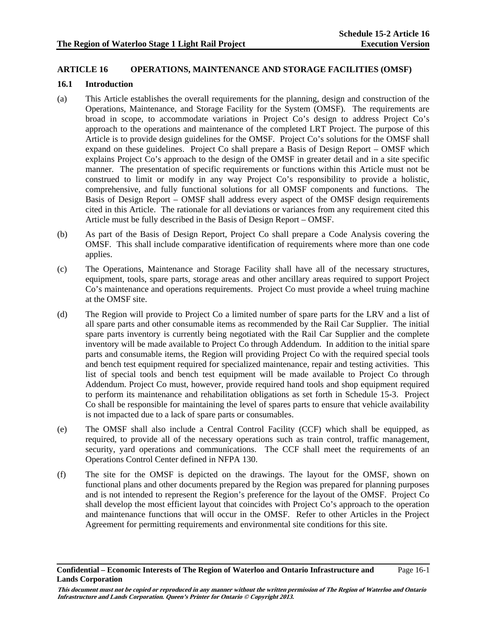#### **ARTICLE 16 OPERATIONS, MAINTENANCE AND STORAGE FACILITIES (OMSF)**

#### **16.1 Introduction**

- (a) This Article establishes the overall requirements for the planning, design and construction of the Operations, Maintenance, and Storage Facility for the System (OMSF). The requirements are broad in scope, to accommodate variations in Project Co's design to address Project Co's approach to the operations and maintenance of the completed LRT Project. The purpose of this Article is to provide design guidelines for the OMSF. Project Co's solutions for the OMSF shall expand on these guidelines. Project Co shall prepare a Basis of Design Report – OMSF which explains Project Co's approach to the design of the OMSF in greater detail and in a site specific manner. The presentation of specific requirements or functions within this Article must not be construed to limit or modify in any way Project Co's responsibility to provide a holistic, comprehensive, and fully functional solutions for all OMSF components and functions. The Basis of Design Report – OMSF shall address every aspect of the OMSF design requirements cited in this Article. The rationale for all deviations or variances from any requirement cited this Article must be fully described in the Basis of Design Report – OMSF.
- (b) As part of the Basis of Design Report, Project Co shall prepare a Code Analysis covering the OMSF. This shall include comparative identification of requirements where more than one code applies.
- (c) The Operations, Maintenance and Storage Facility shall have all of the necessary structures, equipment, tools, spare parts, storage areas and other ancillary areas required to support Project Co's maintenance and operations requirements. Project Co must provide a wheel truing machine at the OMSF site.
- (d) The Region will provide to Project Co a limited number of spare parts for the LRV and a list of all spare parts and other consumable items as recommended by the Rail Car Supplier. The initial spare parts inventory is currently being negotiated with the Rail Car Supplier and the complete inventory will be made available to Project Co through Addendum. In addition to the initial spare parts and consumable items, the Region will providing Project Co with the required special tools and bench test equipment required for specialized maintenance, repair and testing activities. This list of special tools and bench test equipment will be made available to Project Co through Addendum. Project Co must, however, provide required hand tools and shop equipment required to perform its maintenance and rehabilitation obligations as set forth in Schedule 15-3. Project Co shall be responsible for maintaining the level of spares parts to ensure that vehicle availability is not impacted due to a lack of spare parts or consumables.
- (e) The OMSF shall also include a Central Control Facility (CCF) which shall be equipped, as required, to provide all of the necessary operations such as train control, traffic management, security, yard operations and communications. The CCF shall meet the requirements of an Operations Control Center defined in NFPA 130.
- (f) The site for the OMSF is depicted on the drawings. The layout for the OMSF, shown on functional plans and other documents prepared by the Region was prepared for planning purposes and is not intended to represent the Region's preference for the layout of the OMSF. Project Co shall develop the most efficient layout that coincides with Project Co's approach to the operation and maintenance functions that will occur in the OMSF. Refer to other Articles in the Project Agreement for permitting requirements and environmental site conditions for this site.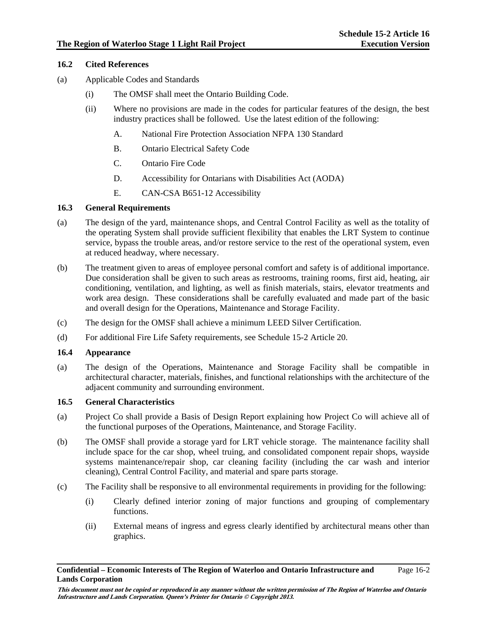# **16.2 Cited References**

- (a) Applicable Codes and Standards
	- (i) The OMSF shall meet the Ontario Building Code.
	- (ii) Where no provisions are made in the codes for particular features of the design, the best industry practices shall be followed. Use the latest edition of the following:
		- A. National Fire Protection Association NFPA 130 Standard
		- B. Ontario Electrical Safety Code
		- C. Ontario Fire Code
		- D. Accessibility for Ontarians with Disabilities Act (AODA)
		- E. CAN-CSA B651-12 Accessibility

# **16.3 General Requirements**

- (a) The design of the yard, maintenance shops, and Central Control Facility as well as the totality of the operating System shall provide sufficient flexibility that enables the LRT System to continue service, bypass the trouble areas, and/or restore service to the rest of the operational system, even at reduced headway, where necessary.
- (b) The treatment given to areas of employee personal comfort and safety is of additional importance. Due consideration shall be given to such areas as restrooms, training rooms, first aid, heating, air conditioning, ventilation, and lighting, as well as finish materials, stairs, elevator treatments and work area design. These considerations shall be carefully evaluated and made part of the basic and overall design for the Operations, Maintenance and Storage Facility.
- (c) The design for the OMSF shall achieve a minimum LEED Silver Certification.
- (d) For additional Fire Life Safety requirements, see Schedule 15-2 Article 20.

# **16.4 Appearance**

(a) The design of the Operations, Maintenance and Storage Facility shall be compatible in architectural character, materials, finishes, and functional relationships with the architecture of the adjacent community and surrounding environment.

# **16.5 General Characteristics**

- (a) Project Co shall provide a Basis of Design Report explaining how Project Co will achieve all of the functional purposes of the Operations, Maintenance, and Storage Facility.
- (b) The OMSF shall provide a storage yard for LRT vehicle storage. The maintenance facility shall include space for the car shop, wheel truing, and consolidated component repair shops, wayside systems maintenance/repair shop, car cleaning facility (including the car wash and interior cleaning), Central Control Facility, and material and spare parts storage.
- (c) The Facility shall be responsive to all environmental requirements in providing for the following:
	- (i) Clearly defined interior zoning of major functions and grouping of complementary functions.
	- (ii) External means of ingress and egress clearly identified by architectural means other than graphics.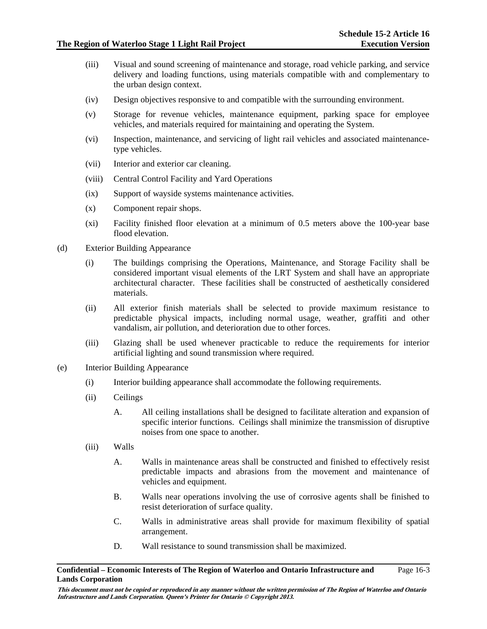- (iii) Visual and sound screening of maintenance and storage, road vehicle parking, and service delivery and loading functions, using materials compatible with and complementary to the urban design context.
- (iv) Design objectives responsive to and compatible with the surrounding environment.
- (v) Storage for revenue vehicles, maintenance equipment, parking space for employee vehicles, and materials required for maintaining and operating the System.
- (vi) Inspection, maintenance, and servicing of light rail vehicles and associated maintenancetype vehicles.
- (vii) Interior and exterior car cleaning.
- (viii) Central Control Facility and Yard Operations
- (ix) Support of wayside systems maintenance activities.
- (x) Component repair shops.
- (xi) Facility finished floor elevation at a minimum of 0.5 meters above the 100-year base flood elevation.
- (d) Exterior Building Appearance
	- (i) The buildings comprising the Operations, Maintenance, and Storage Facility shall be considered important visual elements of the LRT System and shall have an appropriate architectural character. These facilities shall be constructed of aesthetically considered materials.
	- (ii) All exterior finish materials shall be selected to provide maximum resistance to predictable physical impacts, including normal usage, weather, graffiti and other vandalism, air pollution, and deterioration due to other forces.
	- (iii) Glazing shall be used whenever practicable to reduce the requirements for interior artificial lighting and sound transmission where required.
- (e) Interior Building Appearance
	- (i) Interior building appearance shall accommodate the following requirements.
	- (ii) Ceilings
		- A. All ceiling installations shall be designed to facilitate alteration and expansion of specific interior functions. Ceilings shall minimize the transmission of disruptive noises from one space to another.
	- (iii) Walls
		- A. Walls in maintenance areas shall be constructed and finished to effectively resist predictable impacts and abrasions from the movement and maintenance of vehicles and equipment.
		- B. Walls near operations involving the use of corrosive agents shall be finished to resist deterioration of surface quality.
		- C. Walls in administrative areas shall provide for maximum flexibility of spatial arrangement.
		- D. Wall resistance to sound transmission shall be maximized.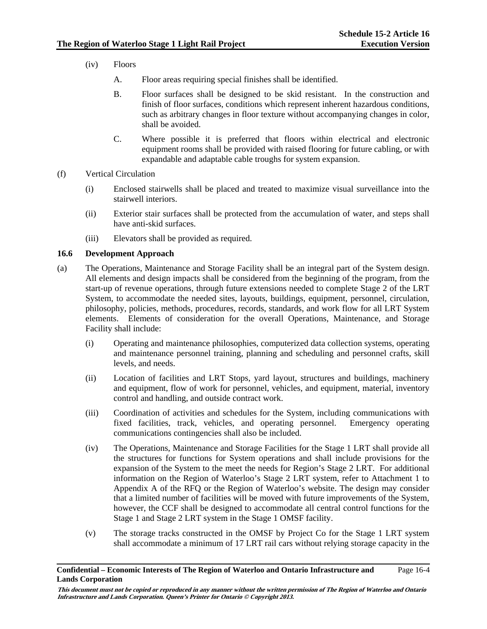- (iv) Floors
	- A. Floor areas requiring special finishes shall be identified.
	- B. Floor surfaces shall be designed to be skid resistant. In the construction and finish of floor surfaces, conditions which represent inherent hazardous conditions, such as arbitrary changes in floor texture without accompanying changes in color, shall be avoided.
	- C. Where possible it is preferred that floors within electrical and electronic equipment rooms shall be provided with raised flooring for future cabling, or with expandable and adaptable cable troughs for system expansion.
- (f) Vertical Circulation
	- (i) Enclosed stairwells shall be placed and treated to maximize visual surveillance into the stairwell interiors.
	- (ii) Exterior stair surfaces shall be protected from the accumulation of water, and steps shall have anti-skid surfaces.
	- (iii) Elevators shall be provided as required.

# **16.6 Development Approach**

- (a) The Operations, Maintenance and Storage Facility shall be an integral part of the System design. All elements and design impacts shall be considered from the beginning of the program, from the start-up of revenue operations, through future extensions needed to complete Stage 2 of the LRT System, to accommodate the needed sites, layouts, buildings, equipment, personnel, circulation, philosophy, policies, methods, procedures, records, standards, and work flow for all LRT System elements. Elements of consideration for the overall Operations, Maintenance, and Storage Facility shall include:
	- (i) Operating and maintenance philosophies, computerized data collection systems, operating and maintenance personnel training, planning and scheduling and personnel crafts, skill levels, and needs.
	- (ii) Location of facilities and LRT Stops, yard layout, structures and buildings, machinery and equipment, flow of work for personnel, vehicles, and equipment, material, inventory control and handling, and outside contract work.
	- (iii) Coordination of activities and schedules for the System, including communications with fixed facilities, track, vehicles, and operating personnel. Emergency operating communications contingencies shall also be included.
	- (iv) The Operations, Maintenance and Storage Facilities for the Stage 1 LRT shall provide all the structures for functions for System operations and shall include provisions for the expansion of the System to the meet the needs for Region's Stage 2 LRT. For additional information on the Region of Waterloo's Stage 2 LRT system, refer to Attachment 1 to Appendix A of the RFQ or the Region of Waterloo's website. The design may consider that a limited number of facilities will be moved with future improvements of the System, however, the CCF shall be designed to accommodate all central control functions for the Stage 1 and Stage 2 LRT system in the Stage 1 OMSF facility.
	- (v) The storage tracks constructed in the OMSF by Project Co for the Stage 1 LRT system shall accommodate a minimum of 17 LRT rail cars without relying storage capacity in the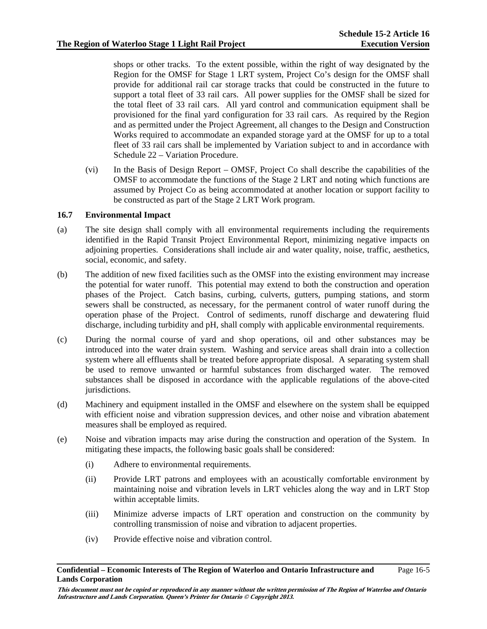shops or other tracks. To the extent possible, within the right of way designated by the Region for the OMSF for Stage 1 LRT system, Project Co's design for the OMSF shall provide for additional rail car storage tracks that could be constructed in the future to support a total fleet of 33 rail cars. All power supplies for the OMSF shall be sized for the total fleet of 33 rail cars. All yard control and communication equipment shall be provisioned for the final yard configuration for 33 rail cars. As required by the Region and as permitted under the Project Agreement, all changes to the Design and Construction Works required to accommodate an expanded storage yard at the OMSF for up to a total fleet of 33 rail cars shall be implemented by Variation subject to and in accordance with Schedule 22 – Variation Procedure.

(vi) In the Basis of Design Report – OMSF, Project Co shall describe the capabilities of the OMSF to accommodate the functions of the Stage 2 LRT and noting which functions are assumed by Project Co as being accommodated at another location or support facility to be constructed as part of the Stage 2 LRT Work program.

# **16.7 Environmental Impact**

- (a) The site design shall comply with all environmental requirements including the requirements identified in the Rapid Transit Project Environmental Report, minimizing negative impacts on adjoining properties. Considerations shall include air and water quality, noise, traffic, aesthetics, social, economic, and safety.
- (b) The addition of new fixed facilities such as the OMSF into the existing environment may increase the potential for water runoff. This potential may extend to both the construction and operation phases of the Project. Catch basins, curbing, culverts, gutters, pumping stations, and storm sewers shall be constructed, as necessary, for the permanent control of water runoff during the operation phase of the Project. Control of sediments, runoff discharge and dewatering fluid discharge, including turbidity and pH, shall comply with applicable environmental requirements.
- (c) During the normal course of yard and shop operations, oil and other substances may be introduced into the water drain system. Washing and service areas shall drain into a collection system where all effluents shall be treated before appropriate disposal. A separating system shall be used to remove unwanted or harmful substances from discharged water. The removed substances shall be disposed in accordance with the applicable regulations of the above-cited jurisdictions.
- (d) Machinery and equipment installed in the OMSF and elsewhere on the system shall be equipped with efficient noise and vibration suppression devices, and other noise and vibration abatement measures shall be employed as required.
- (e) Noise and vibration impacts may arise during the construction and operation of the System. In mitigating these impacts, the following basic goals shall be considered:
	- (i) Adhere to environmental requirements.
	- (ii) Provide LRT patrons and employees with an acoustically comfortable environment by maintaining noise and vibration levels in LRT vehicles along the way and in LRT Stop within acceptable limits.
	- (iii) Minimize adverse impacts of LRT operation and construction on the community by controlling transmission of noise and vibration to adjacent properties.
	- (iv) Provide effective noise and vibration control.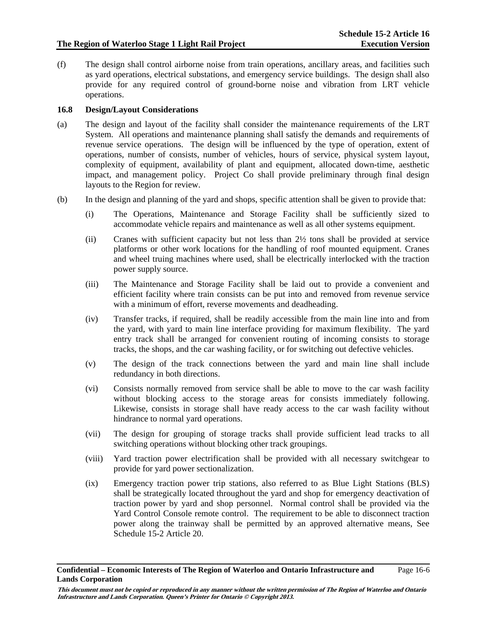Page 16-6

(f) The design shall control airborne noise from train operations, ancillary areas, and facilities such as yard operations, electrical substations, and emergency service buildings. The design shall also provide for any required control of ground-borne noise and vibration from LRT vehicle operations.

# **16.8 Design/Layout Considerations**

- (a) The design and layout of the facility shall consider the maintenance requirements of the LRT System. All operations and maintenance planning shall satisfy the demands and requirements of revenue service operations. The design will be influenced by the type of operation, extent of operations, number of consists, number of vehicles, hours of service, physical system layout, complexity of equipment, availability of plant and equipment, allocated down-time, aesthetic impact, and management policy. Project Co shall provide preliminary through final design layouts to the Region for review.
- (b) In the design and planning of the yard and shops, specific attention shall be given to provide that:
	- (i) The Operations, Maintenance and Storage Facility shall be sufficiently sized to accommodate vehicle repairs and maintenance as well as all other systems equipment.
	- (ii) Cranes with sufficient capacity but not less than 2½ tons shall be provided at service platforms or other work locations for the handling of roof mounted equipment. Cranes and wheel truing machines where used, shall be electrically interlocked with the traction power supply source.
	- (iii) The Maintenance and Storage Facility shall be laid out to provide a convenient and efficient facility where train consists can be put into and removed from revenue service with a minimum of effort, reverse movements and deadheading.
	- (iv) Transfer tracks, if required, shall be readily accessible from the main line into and from the yard, with yard to main line interface providing for maximum flexibility. The yard entry track shall be arranged for convenient routing of incoming consists to storage tracks, the shops, and the car washing facility, or for switching out defective vehicles.
	- (v) The design of the track connections between the yard and main line shall include redundancy in both directions.
	- (vi) Consists normally removed from service shall be able to move to the car wash facility without blocking access to the storage areas for consists immediately following. Likewise, consists in storage shall have ready access to the car wash facility without hindrance to normal yard operations.
	- (vii) The design for grouping of storage tracks shall provide sufficient lead tracks to all switching operations without blocking other track groupings.
	- (viii) Yard traction power electrification shall be provided with all necessary switchgear to provide for yard power sectionalization.
	- (ix) Emergency traction power trip stations, also referred to as Blue Light Stations (BLS) shall be strategically located throughout the yard and shop for emergency deactivation of traction power by yard and shop personnel. Normal control shall be provided via the Yard Control Console remote control. The requirement to be able to disconnect traction power along the trainway shall be permitted by an approved alternative means, See Schedule 15-2 Article 20.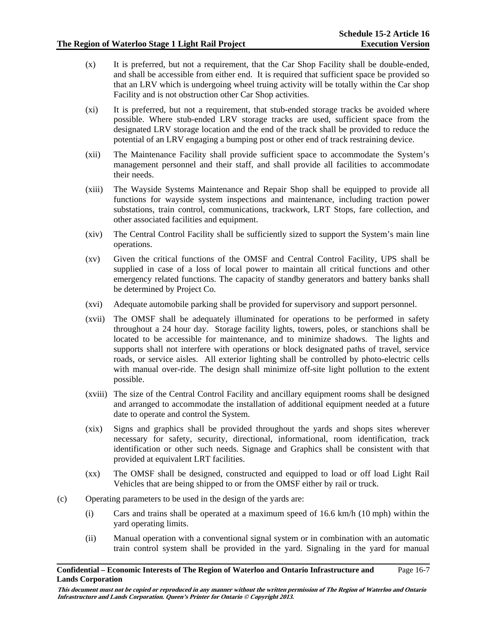- (x) It is preferred, but not a requirement, that the Car Shop Facility shall be double-ended, and shall be accessible from either end. It is required that sufficient space be provided so that an LRV which is undergoing wheel truing activity will be totally within the Car shop Facility and is not obstruction other Car Shop activities.
- (xi) It is preferred, but not a requirement, that stub-ended storage tracks be avoided where possible. Where stub-ended LRV storage tracks are used, sufficient space from the designated LRV storage location and the end of the track shall be provided to reduce the potential of an LRV engaging a bumping post or other end of track restraining device.
- (xii) The Maintenance Facility shall provide sufficient space to accommodate the System's management personnel and their staff, and shall provide all facilities to accommodate their needs.
- (xiii) The Wayside Systems Maintenance and Repair Shop shall be equipped to provide all functions for wayside system inspections and maintenance, including traction power substations, train control, communications, trackwork, LRT Stops, fare collection, and other associated facilities and equipment.
- (xiv) The Central Control Facility shall be sufficiently sized to support the System's main line operations.
- (xv) Given the critical functions of the OMSF and Central Control Facility, UPS shall be supplied in case of a loss of local power to maintain all critical functions and other emergency related functions. The capacity of standby generators and battery banks shall be determined by Project Co.
- (xvi) Adequate automobile parking shall be provided for supervisory and support personnel.
- (xvii) The OMSF shall be adequately illuminated for operations to be performed in safety throughout a 24 hour day. Storage facility lights, towers, poles, or stanchions shall be located to be accessible for maintenance, and to minimize shadows. The lights and supports shall not interfere with operations or block designated paths of travel, service roads, or service aisles. All exterior lighting shall be controlled by photo-electric cells with manual over-ride. The design shall minimize off-site light pollution to the extent possible.
- (xviii) The size of the Central Control Facility and ancillary equipment rooms shall be designed and arranged to accommodate the installation of additional equipment needed at a future date to operate and control the System.
- (xix) Signs and graphics shall be provided throughout the yards and shops sites wherever necessary for safety, security, directional, informational, room identification, track identification or other such needs. Signage and Graphics shall be consistent with that provided at equivalent LRT facilities.
- (xx) The OMSF shall be designed, constructed and equipped to load or off load Light Rail Vehicles that are being shipped to or from the OMSF either by rail or truck.
- (c) Operating parameters to be used in the design of the yards are:
	- (i) Cars and trains shall be operated at a maximum speed of 16.6 km/h (10 mph) within the yard operating limits.
	- (ii) Manual operation with a conventional signal system or in combination with an automatic train control system shall be provided in the yard. Signaling in the yard for manual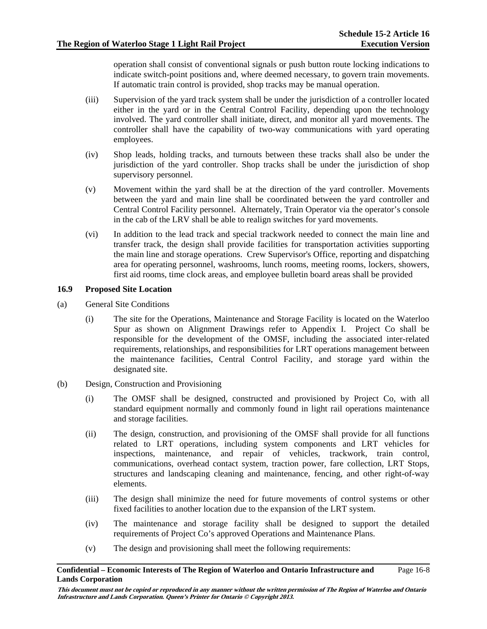operation shall consist of conventional signals or push button route locking indications to indicate switch-point positions and, where deemed necessary, to govern train movements. If automatic train control is provided, shop tracks may be manual operation.

- (iii) Supervision of the yard track system shall be under the jurisdiction of a controller located either in the yard or in the Central Control Facility, depending upon the technology involved. The yard controller shall initiate, direct, and monitor all yard movements. The controller shall have the capability of two-way communications with yard operating employees.
- (iv) Shop leads, holding tracks, and turnouts between these tracks shall also be under the jurisdiction of the yard controller. Shop tracks shall be under the jurisdiction of shop supervisory personnel.
- (v) Movement within the yard shall be at the direction of the yard controller. Movements between the yard and main line shall be coordinated between the yard controller and Central Control Facility personnel. Alternately, Train Operator via the operator's console in the cab of the LRV shall be able to realign switches for yard movements.
- (vi) In addition to the lead track and special trackwork needed to connect the main line and transfer track, the design shall provide facilities for transportation activities supporting the main line and storage operations. Crew Supervisor's Office, reporting and dispatching area for operating personnel, washrooms, lunch rooms, meeting rooms, lockers, showers, first aid rooms, time clock areas, and employee bulletin board areas shall be provided

# **16.9 Proposed Site Location**

- (a) General Site Conditions
	- (i) The site for the Operations, Maintenance and Storage Facility is located on the Waterloo Spur as shown on Alignment Drawings refer to Appendix I. Project Co shall be responsible for the development of the OMSF, including the associated inter-related requirements, relationships, and responsibilities for LRT operations management between the maintenance facilities, Central Control Facility, and storage yard within the designated site.
- (b) Design, Construction and Provisioning
	- (i) The OMSF shall be designed, constructed and provisioned by Project Co, with all standard equipment normally and commonly found in light rail operations maintenance and storage facilities.
	- (ii) The design, construction, and provisioning of the OMSF shall provide for all functions related to LRT operations, including system components and LRT vehicles for inspections, maintenance, and repair of vehicles, trackwork, train control, communications, overhead contact system, traction power, fare collection, LRT Stops, structures and landscaping cleaning and maintenance, fencing, and other right-of-way elements.
	- (iii) The design shall minimize the need for future movements of control systems or other fixed facilities to another location due to the expansion of the LRT system.
	- (iv) The maintenance and storage facility shall be designed to support the detailed requirements of Project Co's approved Operations and Maintenance Plans.
	- (v) The design and provisioning shall meet the following requirements:

#### **Confidential – Economic Interests of The Region of Waterloo and Ontario Infrastructure and Lands Corporation**  Page 16-8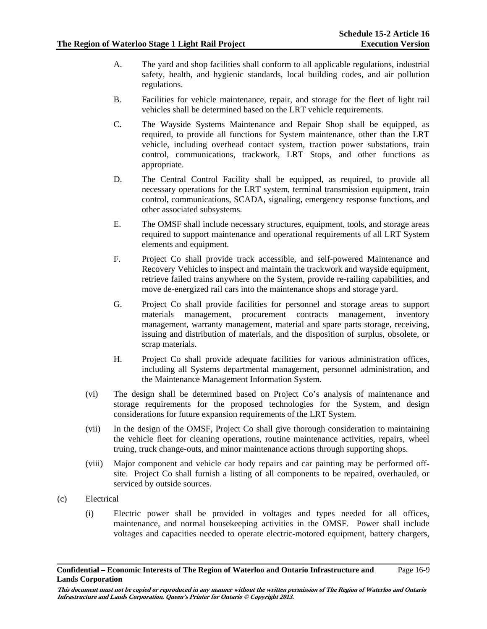- A. The yard and shop facilities shall conform to all applicable regulations, industrial safety, health, and hygienic standards, local building codes, and air pollution regulations.
- B. Facilities for vehicle maintenance, repair, and storage for the fleet of light rail vehicles shall be determined based on the LRT vehicle requirements.
- C. The Wayside Systems Maintenance and Repair Shop shall be equipped, as required, to provide all functions for System maintenance, other than the LRT vehicle, including overhead contact system, traction power substations, train control, communications, trackwork, LRT Stops, and other functions as appropriate.
- D. The Central Control Facility shall be equipped, as required, to provide all necessary operations for the LRT system, terminal transmission equipment, train control, communications, SCADA, signaling, emergency response functions, and other associated subsystems.
- E. The OMSF shall include necessary structures, equipment, tools, and storage areas required to support maintenance and operational requirements of all LRT System elements and equipment.
- F. Project Co shall provide track accessible, and self-powered Maintenance and Recovery Vehicles to inspect and maintain the trackwork and wayside equipment, retrieve failed trains anywhere on the System, provide re-railing capabilities, and move de-energized rail cars into the maintenance shops and storage yard.
- G. Project Co shall provide facilities for personnel and storage areas to support materials management, procurement contracts management, inventory management, warranty management, material and spare parts storage, receiving, issuing and distribution of materials, and the disposition of surplus, obsolete, or scrap materials.
- H. Project Co shall provide adequate facilities for various administration offices, including all Systems departmental management, personnel administration, and the Maintenance Management Information System.
- (vi) The design shall be determined based on Project Co's analysis of maintenance and storage requirements for the proposed technologies for the System, and design considerations for future expansion requirements of the LRT System.
- (vii) In the design of the OMSF, Project Co shall give thorough consideration to maintaining the vehicle fleet for cleaning operations, routine maintenance activities, repairs, wheel truing, truck change-outs, and minor maintenance actions through supporting shops.
- (viii) Major component and vehicle car body repairs and car painting may be performed offsite. Project Co shall furnish a listing of all components to be repaired, overhauled, or serviced by outside sources.
- (c) Electrical
	- (i) Electric power shall be provided in voltages and types needed for all offices, maintenance, and normal housekeeping activities in the OMSF. Power shall include voltages and capacities needed to operate electric-motored equipment, battery chargers,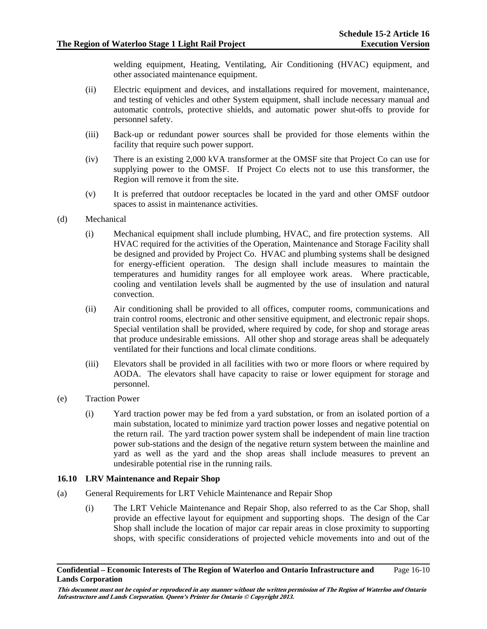welding equipment, Heating, Ventilating, Air Conditioning (HVAC) equipment, and other associated maintenance equipment.

- (ii) Electric equipment and devices, and installations required for movement, maintenance, and testing of vehicles and other System equipment, shall include necessary manual and automatic controls, protective shields, and automatic power shut-offs to provide for personnel safety.
- (iii) Back-up or redundant power sources shall be provided for those elements within the facility that require such power support.
- (iv) There is an existing 2,000 kVA transformer at the OMSF site that Project Co can use for supplying power to the OMSF. If Project Co elects not to use this transformer, the Region will remove it from the site.
- (v) It is preferred that outdoor receptacles be located in the yard and other OMSF outdoor spaces to assist in maintenance activities.
- (d) Mechanical
	- (i) Mechanical equipment shall include plumbing, HVAC, and fire protection systems. All HVAC required for the activities of the Operation, Maintenance and Storage Facility shall be designed and provided by Project Co. HVAC and plumbing systems shall be designed for energy-efficient operation. The design shall include measures to maintain the temperatures and humidity ranges for all employee work areas. Where practicable, cooling and ventilation levels shall be augmented by the use of insulation and natural convection.
	- (ii) Air conditioning shall be provided to all offices, computer rooms, communications and train control rooms, electronic and other sensitive equipment, and electronic repair shops. Special ventilation shall be provided, where required by code, for shop and storage areas that produce undesirable emissions. All other shop and storage areas shall be adequately ventilated for their functions and local climate conditions.
	- (iii) Elevators shall be provided in all facilities with two or more floors or where required by AODA. The elevators shall have capacity to raise or lower equipment for storage and personnel.
- (e) Traction Power
	- (i) Yard traction power may be fed from a yard substation, or from an isolated portion of a main substation, located to minimize yard traction power losses and negative potential on the return rail. The yard traction power system shall be independent of main line traction power sub-stations and the design of the negative return system between the mainline and yard as well as the yard and the shop areas shall include measures to prevent an undesirable potential rise in the running rails.

# **16.10 LRV Maintenance and Repair Shop**

- (a) General Requirements for LRT Vehicle Maintenance and Repair Shop
	- (i) The LRT Vehicle Maintenance and Repair Shop, also referred to as the Car Shop, shall provide an effective layout for equipment and supporting shops. The design of the Car Shop shall include the location of major car repair areas in close proximity to supporting shops, with specific considerations of projected vehicle movements into and out of the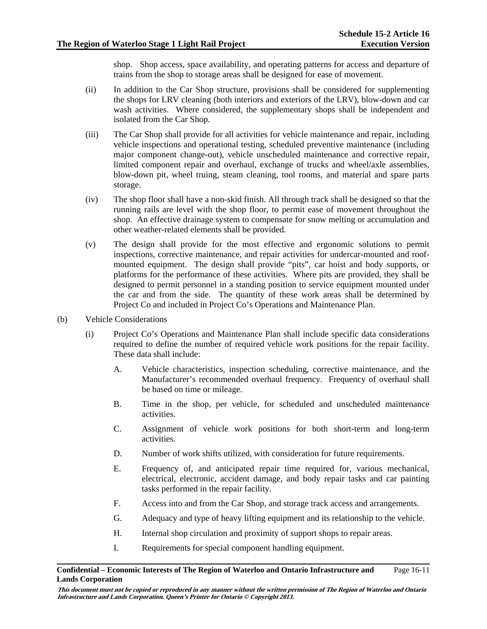shop. Shop access, space availability, and operating patterns for access and departure of trains from the shop to storage areas shall be designed for ease of movement.

- (ii) In addition to the Car Shop structure, provisions shall be considered for supplementing the shops for LRV cleaning (both interiors and exteriors of the LRV), blow-down and car wash activities. Where considered, the supplementary shops shall be independent and isolated from the Car Shop.
- (iii) The Car Shop shall provide for all activities for vehicle maintenance and repair, including vehicle inspections and operational testing, scheduled preventive maintenance (including major component change-out), vehicle unscheduled maintenance and corrective repair, limited component repair and overhaul, exchange of trucks and wheel/axle assemblies, blow-down pit, wheel truing, steam cleaning, tool rooms, and material and spare parts storage.
- (iv) The shop floor shall have a non-skid finish. All through track shall be designed so that the running rails are level with the shop floor, to permit ease of movement throughout the shop. An effective drainage system to compensate for snow melting or accumulation and other weather-related elements shall be provided.
- (v) The design shall provide for the most effective and ergonomic solutions to permit inspections, corrective maintenance, and repair activities for undercar-mounted and roofmounted equipment. The design shall provide "pits", car hoist and body supports, or platforms for the performance of these activities. Where pits are provided, they shall be designed to permit personnel in a standing position to service equipment mounted under the car and from the side. The quantity of these work areas shall be determined by Project Co and included in Project Co's Operations and Maintenance Plan.
- (b) Vehicle Considerations
	- (i) Project Co's Operations and Maintenance Plan shall include specific data considerations required to define the number of required vehicle work positions for the repair facility. These data shall include:
		- A. Vehicle characteristics, inspection scheduling, corrective maintenance, and the Manufacturer's recommended overhaul frequency. Frequency of overhaul shall be based on time or mileage.
		- B. Time in the shop, per vehicle, for scheduled and unscheduled maintenance activities.
		- C. Assignment of vehicle work positions for both short-term and long-term activities.
		- D. Number of work shifts utilized, with consideration for future requirements.
		- E. Frequency of, and anticipated repair time required for, various mechanical, electrical, electronic, accident damage, and body repair tasks and car painting tasks performed in the repair facility.
		- F. Access into and from the Car Shop, and storage track access and arrangements.
		- G. Adequacy and type of heavy lifting equipment and its relationship to the vehicle.
		- H. Internal shop circulation and proximity of support shops to repair areas.
		- I. Requirements for special component handling equipment.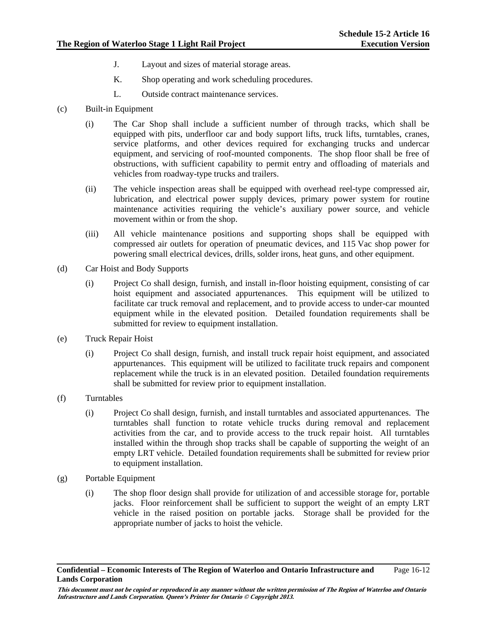- J. Layout and sizes of material storage areas.
- K. Shop operating and work scheduling procedures.
- L. Outside contract maintenance services.
- (c) Built-in Equipment
	- (i) The Car Shop shall include a sufficient number of through tracks, which shall be equipped with pits, underfloor car and body support lifts, truck lifts, turntables, cranes, service platforms, and other devices required for exchanging trucks and undercar equipment, and servicing of roof-mounted components. The shop floor shall be free of obstructions, with sufficient capability to permit entry and offloading of materials and vehicles from roadway-type trucks and trailers.
	- (ii) The vehicle inspection areas shall be equipped with overhead reel-type compressed air, lubrication, and electrical power supply devices, primary power system for routine maintenance activities requiring the vehicle's auxiliary power source, and vehicle movement within or from the shop.
	- (iii) All vehicle maintenance positions and supporting shops shall be equipped with compressed air outlets for operation of pneumatic devices, and 115 Vac shop power for powering small electrical devices, drills, solder irons, heat guns, and other equipment.
- (d) Car Hoist and Body Supports
	- (i) Project Co shall design, furnish, and install in-floor hoisting equipment, consisting of car hoist equipment and associated appurtenances. This equipment will be utilized to facilitate car truck removal and replacement, and to provide access to under-car mounted equipment while in the elevated position. Detailed foundation requirements shall be submitted for review to equipment installation.
- (e) Truck Repair Hoist
	- (i) Project Co shall design, furnish, and install truck repair hoist equipment, and associated appurtenances. This equipment will be utilized to facilitate truck repairs and component replacement while the truck is in an elevated position. Detailed foundation requirements shall be submitted for review prior to equipment installation.
- (f) Turntables
	- (i) Project Co shall design, furnish, and install turntables and associated appurtenances. The turntables shall function to rotate vehicle trucks during removal and replacement activities from the car, and to provide access to the truck repair hoist. All turntables installed within the through shop tracks shall be capable of supporting the weight of an empty LRT vehicle. Detailed foundation requirements shall be submitted for review prior to equipment installation.
- (g) Portable Equipment
	- (i) The shop floor design shall provide for utilization of and accessible storage for, portable jacks. Floor reinforcement shall be sufficient to support the weight of an empty LRT vehicle in the raised position on portable jacks. Storage shall be provided for the appropriate number of jacks to hoist the vehicle.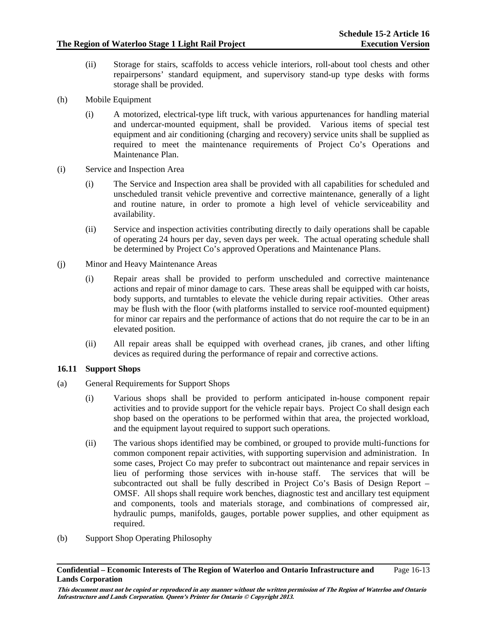- (ii) Storage for stairs, scaffolds to access vehicle interiors, roll-about tool chests and other repairpersons' standard equipment, and supervisory stand-up type desks with forms storage shall be provided.
- (h) Mobile Equipment
	- (i) A motorized, electrical-type lift truck, with various appurtenances for handling material and undercar-mounted equipment, shall be provided. Various items of special test equipment and air conditioning (charging and recovery) service units shall be supplied as required to meet the maintenance requirements of Project Co's Operations and Maintenance Plan.
- (i) Service and Inspection Area
	- (i) The Service and Inspection area shall be provided with all capabilities for scheduled and unscheduled transit vehicle preventive and corrective maintenance, generally of a light and routine nature, in order to promote a high level of vehicle serviceability and availability.
	- (ii) Service and inspection activities contributing directly to daily operations shall be capable of operating 24 hours per day, seven days per week. The actual operating schedule shall be determined by Project Co's approved Operations and Maintenance Plans.
- (j) Minor and Heavy Maintenance Areas
	- (i) Repair areas shall be provided to perform unscheduled and corrective maintenance actions and repair of minor damage to cars. These areas shall be equipped with car hoists, body supports, and turntables to elevate the vehicle during repair activities. Other areas may be flush with the floor (with platforms installed to service roof-mounted equipment) for minor car repairs and the performance of actions that do not require the car to be in an elevated position.
	- (ii) All repair areas shall be equipped with overhead cranes, jib cranes, and other lifting devices as required during the performance of repair and corrective actions.

# **16.11 Support Shops**

- (a) General Requirements for Support Shops
	- (i) Various shops shall be provided to perform anticipated in-house component repair activities and to provide support for the vehicle repair bays. Project Co shall design each shop based on the operations to be performed within that area, the projected workload, and the equipment layout required to support such operations.
	- (ii) The various shops identified may be combined, or grouped to provide multi-functions for common component repair activities, with supporting supervision and administration. In some cases, Project Co may prefer to subcontract out maintenance and repair services in lieu of performing those services with in-house staff. The services that will be subcontracted out shall be fully described in Project Co's Basis of Design Report – OMSF. All shops shall require work benches, diagnostic test and ancillary test equipment and components, tools and materials storage, and combinations of compressed air, hydraulic pumps, manifolds, gauges, portable power supplies, and other equipment as required.
- (b) Support Shop Operating Philosophy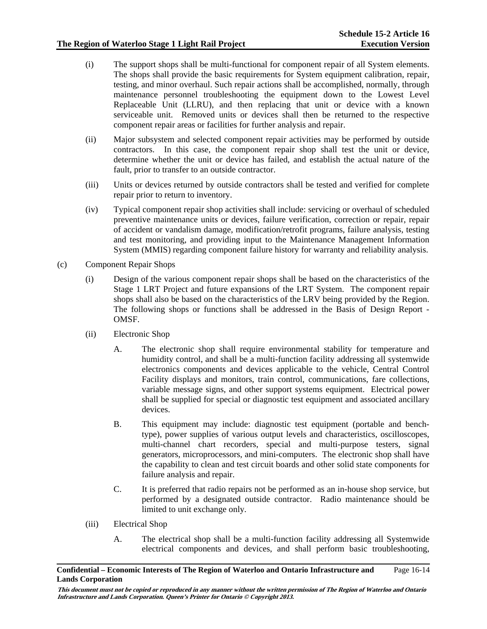- (i) The support shops shall be multi-functional for component repair of all System elements. The shops shall provide the basic requirements for System equipment calibration, repair, testing, and minor overhaul. Such repair actions shall be accomplished, normally, through maintenance personnel troubleshooting the equipment down to the Lowest Level Replaceable Unit (LLRU), and then replacing that unit or device with a known serviceable unit. Removed units or devices shall then be returned to the respective component repair areas or facilities for further analysis and repair.
- (ii) Major subsystem and selected component repair activities may be performed by outside contractors. In this case, the component repair shop shall test the unit or device, determine whether the unit or device has failed, and establish the actual nature of the fault, prior to transfer to an outside contractor.
- (iii) Units or devices returned by outside contractors shall be tested and verified for complete repair prior to return to inventory.
- (iv) Typical component repair shop activities shall include: servicing or overhaul of scheduled preventive maintenance units or devices, failure verification, correction or repair, repair of accident or vandalism damage, modification/retrofit programs, failure analysis, testing and test monitoring, and providing input to the Maintenance Management Information System (MMIS) regarding component failure history for warranty and reliability analysis.
- (c) Component Repair Shops
	- (i) Design of the various component repair shops shall be based on the characteristics of the Stage 1 LRT Project and future expansions of the LRT System. The component repair shops shall also be based on the characteristics of the LRV being provided by the Region. The following shops or functions shall be addressed in the Basis of Design Report - OMSF.
	- (ii) Electronic Shop
		- A. The electronic shop shall require environmental stability for temperature and humidity control, and shall be a multi-function facility addressing all systemwide electronics components and devices applicable to the vehicle, Central Control Facility displays and monitors, train control, communications, fare collections, variable message signs, and other support systems equipment. Electrical power shall be supplied for special or diagnostic test equipment and associated ancillary devices.
		- B. This equipment may include: diagnostic test equipment (portable and benchtype), power supplies of various output levels and characteristics, oscilloscopes, multi-channel chart recorders, special and multi-purpose testers, signal generators, microprocessors, and mini-computers. The electronic shop shall have the capability to clean and test circuit boards and other solid state components for failure analysis and repair.
		- C. It is preferred that radio repairs not be performed as an in-house shop service, but performed by a designated outside contractor. Radio maintenance should be limited to unit exchange only.
	- (iii) Electrical Shop
		- A. The electrical shop shall be a multi-function facility addressing all Systemwide electrical components and devices, and shall perform basic troubleshooting,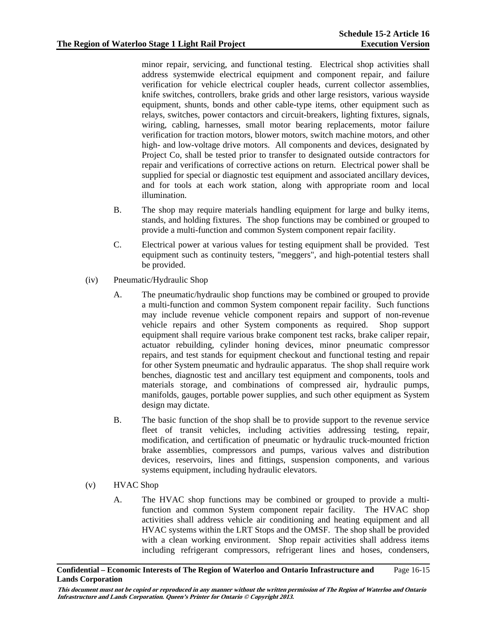minor repair, servicing, and functional testing. Electrical shop activities shall address systemwide electrical equipment and component repair, and failure verification for vehicle electrical coupler heads, current collector assemblies, knife switches, controllers, brake grids and other large resistors, various wayside equipment, shunts, bonds and other cable-type items, other equipment such as relays, switches, power contactors and circuit-breakers, lighting fixtures, signals, wiring, cabling, harnesses, small motor bearing replacements, motor failure verification for traction motors, blower motors, switch machine motors, and other high- and low-voltage drive motors. All components and devices, designated by Project Co, shall be tested prior to transfer to designated outside contractors for repair and verifications of corrective actions on return. Electrical power shall be supplied for special or diagnostic test equipment and associated ancillary devices, and for tools at each work station, along with appropriate room and local illumination.

- B. The shop may require materials handling equipment for large and bulky items, stands, and holding fixtures. The shop functions may be combined or grouped to provide a multi-function and common System component repair facility.
- C. Electrical power at various values for testing equipment shall be provided. Test equipment such as continuity testers, "meggers", and high-potential testers shall be provided.
- (iv) Pneumatic/Hydraulic Shop
	- A. The pneumatic/hydraulic shop functions may be combined or grouped to provide a multi-function and common System component repair facility. Such functions may include revenue vehicle component repairs and support of non-revenue vehicle repairs and other System components as required. Shop support equipment shall require various brake component test racks, brake caliper repair, actuator rebuilding, cylinder honing devices, minor pneumatic compressor repairs, and test stands for equipment checkout and functional testing and repair for other System pneumatic and hydraulic apparatus. The shop shall require work benches, diagnostic test and ancillary test equipment and components, tools and materials storage, and combinations of compressed air, hydraulic pumps, manifolds, gauges, portable power supplies, and such other equipment as System design may dictate.
	- B. The basic function of the shop shall be to provide support to the revenue service fleet of transit vehicles, including activities addressing testing, repair, modification, and certification of pneumatic or hydraulic truck-mounted friction brake assemblies, compressors and pumps, various valves and distribution devices, reservoirs, lines and fittings, suspension components, and various systems equipment, including hydraulic elevators.
- (v) HVAC Shop
	- A. The HVAC shop functions may be combined or grouped to provide a multifunction and common System component repair facility. The HVAC shop activities shall address vehicle air conditioning and heating equipment and all HVAC systems within the LRT Stops and the OMSF. The shop shall be provided with a clean working environment. Shop repair activities shall address items including refrigerant compressors, refrigerant lines and hoses, condensers,

#### **Confidential – Economic Interests of The Region of Waterloo and Ontario Infrastructure and Lands Corporation**  Page 16-15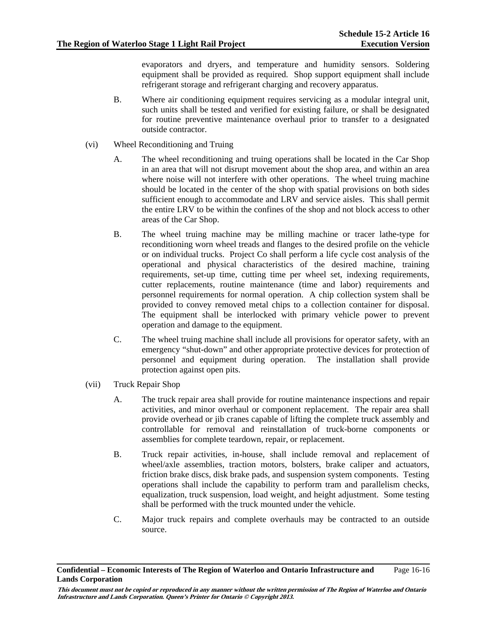evaporators and dryers, and temperature and humidity sensors. Soldering equipment shall be provided as required. Shop support equipment shall include refrigerant storage and refrigerant charging and recovery apparatus.

- B. Where air conditioning equipment requires servicing as a modular integral unit, such units shall be tested and verified for existing failure, or shall be designated for routine preventive maintenance overhaul prior to transfer to a designated outside contractor.
- (vi) Wheel Reconditioning and Truing
	- A. The wheel reconditioning and truing operations shall be located in the Car Shop in an area that will not disrupt movement about the shop area, and within an area where noise will not interfere with other operations. The wheel truing machine should be located in the center of the shop with spatial provisions on both sides sufficient enough to accommodate and LRV and service aisles. This shall permit the entire LRV to be within the confines of the shop and not block access to other areas of the Car Shop.
	- B. The wheel truing machine may be milling machine or tracer lathe-type for reconditioning worn wheel treads and flanges to the desired profile on the vehicle or on individual trucks. Project Co shall perform a life cycle cost analysis of the operational and physical characteristics of the desired machine, training requirements, set-up time, cutting time per wheel set, indexing requirements, cutter replacements, routine maintenance (time and labor) requirements and personnel requirements for normal operation. A chip collection system shall be provided to convey removed metal chips to a collection container for disposal. The equipment shall be interlocked with primary vehicle power to prevent operation and damage to the equipment.
	- C. The wheel truing machine shall include all provisions for operator safety, with an emergency "shut-down" and other appropriate protective devices for protection of personnel and equipment during operation. The installation shall provide protection against open pits.
- (vii) Truck Repair Shop
	- A. The truck repair area shall provide for routine maintenance inspections and repair activities, and minor overhaul or component replacement. The repair area shall provide overhead or jib cranes capable of lifting the complete truck assembly and controllable for removal and reinstallation of truck-borne components or assemblies for complete teardown, repair, or replacement.
	- B. Truck repair activities, in-house, shall include removal and replacement of wheel/axle assemblies, traction motors, bolsters, brake caliper and actuators, friction brake discs, disk brake pads, and suspension system components. Testing operations shall include the capability to perform tram and parallelism checks, equalization, truck suspension, load weight, and height adjustment. Some testing shall be performed with the truck mounted under the vehicle.
	- C. Major truck repairs and complete overhauls may be contracted to an outside source.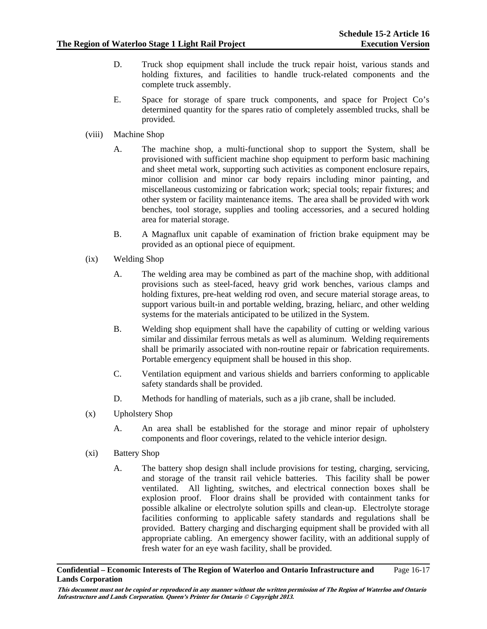- D. Truck shop equipment shall include the truck repair hoist, various stands and holding fixtures, and facilities to handle truck-related components and the complete truck assembly.
- E. Space for storage of spare truck components, and space for Project Co's determined quantity for the spares ratio of completely assembled trucks, shall be provided.
- (viii) Machine Shop
	- A. The machine shop, a multi-functional shop to support the System, shall be provisioned with sufficient machine shop equipment to perform basic machining and sheet metal work, supporting such activities as component enclosure repairs, minor collision and minor car body repairs including minor painting, and miscellaneous customizing or fabrication work; special tools; repair fixtures; and other system or facility maintenance items. The area shall be provided with work benches, tool storage, supplies and tooling accessories, and a secured holding area for material storage.
	- B. A Magnaflux unit capable of examination of friction brake equipment may be provided as an optional piece of equipment.
- (ix) Welding Shop
	- A. The welding area may be combined as part of the machine shop, with additional provisions such as steel-faced, heavy grid work benches, various clamps and holding fixtures, pre-heat welding rod oven, and secure material storage areas, to support various built-in and portable welding, brazing, heliarc, and other welding systems for the materials anticipated to be utilized in the System.
	- B. Welding shop equipment shall have the capability of cutting or welding various similar and dissimilar ferrous metals as well as aluminum. Welding requirements shall be primarily associated with non-routine repair or fabrication requirements. Portable emergency equipment shall be housed in this shop.
	- C. Ventilation equipment and various shields and barriers conforming to applicable safety standards shall be provided.
	- D. Methods for handling of materials, such as a jib crane, shall be included.
- (x) Upholstery Shop
	- A. An area shall be established for the storage and minor repair of upholstery components and floor coverings, related to the vehicle interior design.
- (xi) Battery Shop
	- A. The battery shop design shall include provisions for testing, charging, servicing, and storage of the transit rail vehicle batteries. This facility shall be power ventilated. All lighting, switches, and electrical connection boxes shall be explosion proof. Floor drains shall be provided with containment tanks for possible alkaline or electrolyte solution spills and clean-up. Electrolyte storage facilities conforming to applicable safety standards and regulations shall be provided. Battery charging and discharging equipment shall be provided with all appropriate cabling. An emergency shower facility, with an additional supply of fresh water for an eye wash facility, shall be provided.

#### **Confidential – Economic Interests of The Region of Waterloo and Ontario Infrastructure and Lands Corporation**  Page 16-17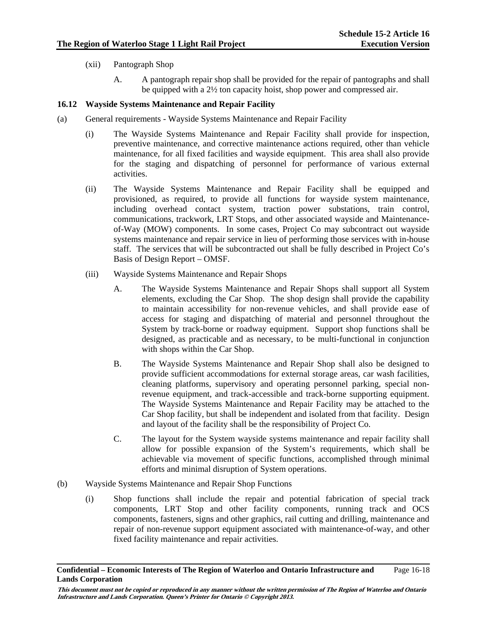- (xii) Pantograph Shop
	- A. A pantograph repair shop shall be provided for the repair of pantographs and shall be quipped with a 2½ ton capacity hoist, shop power and compressed air.

# **16.12 Wayside Systems Maintenance and Repair Facility**

- (a) General requirements Wayside Systems Maintenance and Repair Facility
	- (i) The Wayside Systems Maintenance and Repair Facility shall provide for inspection, preventive maintenance, and corrective maintenance actions required, other than vehicle maintenance, for all fixed facilities and wayside equipment. This area shall also provide for the staging and dispatching of personnel for performance of various external activities.
	- (ii) The Wayside Systems Maintenance and Repair Facility shall be equipped and provisioned, as required, to provide all functions for wayside system maintenance, including overhead contact system, traction power substations, train control, communications, trackwork, LRT Stops, and other associated wayside and Maintenanceof-Way (MOW) components. In some cases, Project Co may subcontract out wayside systems maintenance and repair service in lieu of performing those services with in-house staff. The services that will be subcontracted out shall be fully described in Project Co's Basis of Design Report – OMSF.
	- (iii) Wayside Systems Maintenance and Repair Shops
		- A. The Wayside Systems Maintenance and Repair Shops shall support all System elements, excluding the Car Shop. The shop design shall provide the capability to maintain accessibility for non-revenue vehicles, and shall provide ease of access for staging and dispatching of material and personnel throughout the System by track-borne or roadway equipment. Support shop functions shall be designed, as practicable and as necessary, to be multi-functional in conjunction with shops within the Car Shop.
		- B. The Wayside Systems Maintenance and Repair Shop shall also be designed to provide sufficient accommodations for external storage areas, car wash facilities, cleaning platforms, supervisory and operating personnel parking, special nonrevenue equipment, and track-accessible and track-borne supporting equipment. The Wayside Systems Maintenance and Repair Facility may be attached to the Car Shop facility, but shall be independent and isolated from that facility. Design and layout of the facility shall be the responsibility of Project Co.
		- C. The layout for the System wayside systems maintenance and repair facility shall allow for possible expansion of the System's requirements, which shall be achievable via movement of specific functions, accomplished through minimal efforts and minimal disruption of System operations.
- (b) Wayside Systems Maintenance and Repair Shop Functions
	- (i) Shop functions shall include the repair and potential fabrication of special track components, LRT Stop and other facility components, running track and OCS components, fasteners, signs and other graphics, rail cutting and drilling, maintenance and repair of non-revenue support equipment associated with maintenance-of-way, and other fixed facility maintenance and repair activities.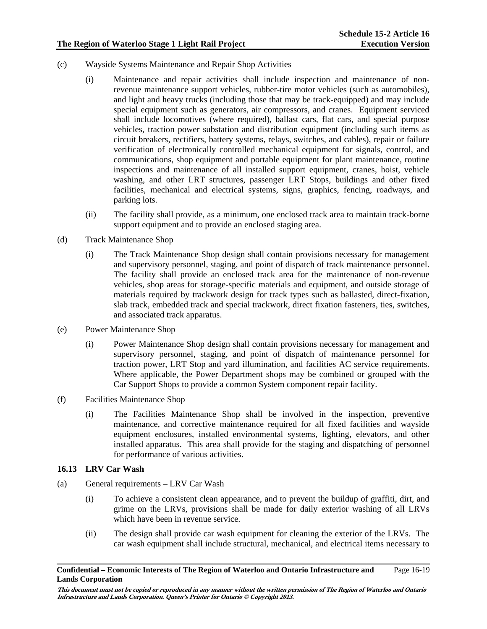- (c) Wayside Systems Maintenance and Repair Shop Activities
	- (i) Maintenance and repair activities shall include inspection and maintenance of nonrevenue maintenance support vehicles, rubber-tire motor vehicles (such as automobiles), and light and heavy trucks (including those that may be track-equipped) and may include special equipment such as generators, air compressors, and cranes. Equipment serviced shall include locomotives (where required), ballast cars, flat cars, and special purpose vehicles, traction power substation and distribution equipment (including such items as circuit breakers, rectifiers, battery systems, relays, switches, and cables), repair or failure verification of electronically controlled mechanical equipment for signals, control, and communications, shop equipment and portable equipment for plant maintenance, routine inspections and maintenance of all installed support equipment, cranes, hoist, vehicle washing, and other LRT structures, passenger LRT Stops, buildings and other fixed facilities, mechanical and electrical systems, signs, graphics, fencing, roadways, and parking lots.
	- (ii) The facility shall provide, as a minimum, one enclosed track area to maintain track-borne support equipment and to provide an enclosed staging area.
- (d) Track Maintenance Shop
	- (i) The Track Maintenance Shop design shall contain provisions necessary for management and supervisory personnel, staging, and point of dispatch of track maintenance personnel. The facility shall provide an enclosed track area for the maintenance of non-revenue vehicles, shop areas for storage-specific materials and equipment, and outside storage of materials required by trackwork design for track types such as ballasted, direct-fixation, slab track, embedded track and special trackwork, direct fixation fasteners, ties, switches, and associated track apparatus.
- (e) Power Maintenance Shop
	- (i) Power Maintenance Shop design shall contain provisions necessary for management and supervisory personnel, staging, and point of dispatch of maintenance personnel for traction power, LRT Stop and yard illumination, and facilities AC service requirements. Where applicable, the Power Department shops may be combined or grouped with the Car Support Shops to provide a common System component repair facility.
- (f) Facilities Maintenance Shop
	- (i) The Facilities Maintenance Shop shall be involved in the inspection, preventive maintenance, and corrective maintenance required for all fixed facilities and wayside equipment enclosures, installed environmental systems, lighting, elevators, and other installed apparatus. This area shall provide for the staging and dispatching of personnel for performance of various activities.

# **16.13 LRV Car Wash**

- (a) General requirements LRV Car Wash
	- (i) To achieve a consistent clean appearance, and to prevent the buildup of graffiti, dirt, and grime on the LRVs, provisions shall be made for daily exterior washing of all LRVs which have been in revenue service.
	- (ii) The design shall provide car wash equipment for cleaning the exterior of the LRVs. The car wash equipment shall include structural, mechanical, and electrical items necessary to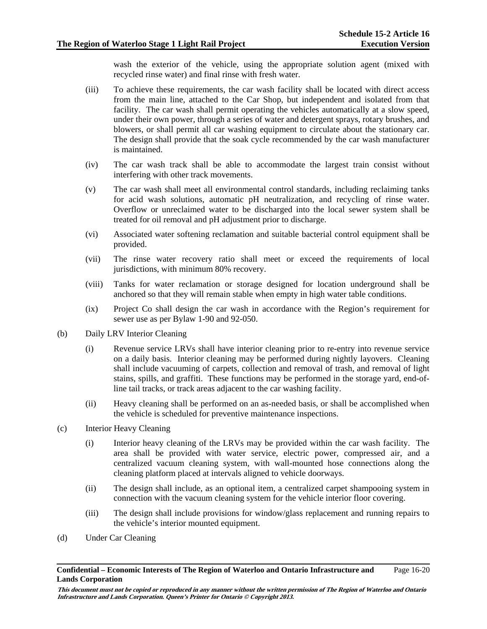wash the exterior of the vehicle, using the appropriate solution agent (mixed with recycled rinse water) and final rinse with fresh water.

- (iii) To achieve these requirements, the car wash facility shall be located with direct access from the main line, attached to the Car Shop, but independent and isolated from that facility. The car wash shall permit operating the vehicles automatically at a slow speed, under their own power, through a series of water and detergent sprays, rotary brushes, and blowers, or shall permit all car washing equipment to circulate about the stationary car. The design shall provide that the soak cycle recommended by the car wash manufacturer is maintained.
- (iv) The car wash track shall be able to accommodate the largest train consist without interfering with other track movements.
- (v) The car wash shall meet all environmental control standards, including reclaiming tanks for acid wash solutions, automatic pH neutralization, and recycling of rinse water. Overflow or unreclaimed water to be discharged into the local sewer system shall be treated for oil removal and pH adjustment prior to discharge.
- (vi) Associated water softening reclamation and suitable bacterial control equipment shall be provided.
- (vii) The rinse water recovery ratio shall meet or exceed the requirements of local jurisdictions, with minimum 80% recovery.
- (viii) Tanks for water reclamation or storage designed for location underground shall be anchored so that they will remain stable when empty in high water table conditions.
- (ix) Project Co shall design the car wash in accordance with the Region's requirement for sewer use as per Bylaw 1-90 and 92-050.
- (b) Daily LRV Interior Cleaning
	- (i) Revenue service LRVs shall have interior cleaning prior to re-entry into revenue service on a daily basis. Interior cleaning may be performed during nightly layovers. Cleaning shall include vacuuming of carpets, collection and removal of trash, and removal of light stains, spills, and graffiti. These functions may be performed in the storage yard, end-ofline tail tracks, or track areas adjacent to the car washing facility.
	- (ii) Heavy cleaning shall be performed on an as-needed basis, or shall be accomplished when the vehicle is scheduled for preventive maintenance inspections.
- (c) Interior Heavy Cleaning
	- (i) Interior heavy cleaning of the LRVs may be provided within the car wash facility. The area shall be provided with water service, electric power, compressed air, and a centralized vacuum cleaning system, with wall-mounted hose connections along the cleaning platform placed at intervals aligned to vehicle doorways.
	- (ii) The design shall include, as an optional item, a centralized carpet shampooing system in connection with the vacuum cleaning system for the vehicle interior floor covering.
	- (iii) The design shall include provisions for window/glass replacement and running repairs to the vehicle's interior mounted equipment.
- (d) Under Car Cleaning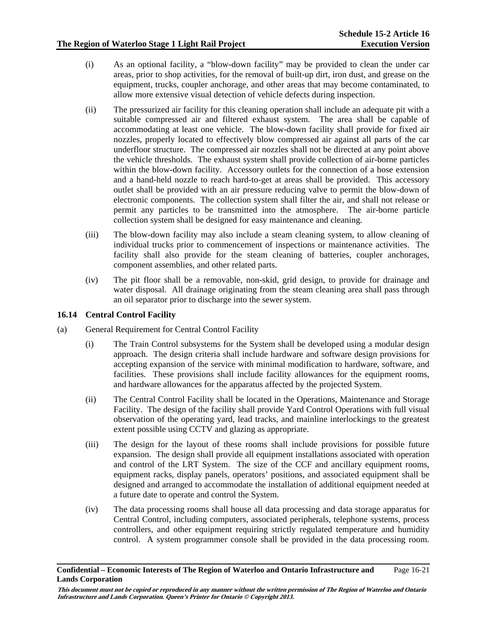- (i) As an optional facility, a "blow-down facility" may be provided to clean the under car areas, prior to shop activities, for the removal of built-up dirt, iron dust, and grease on the equipment, trucks, coupler anchorage, and other areas that may become contaminated, to allow more extensive visual detection of vehicle defects during inspection.
- (ii) The pressurized air facility for this cleaning operation shall include an adequate pit with a suitable compressed air and filtered exhaust system. The area shall be capable of accommodating at least one vehicle. The blow-down facility shall provide for fixed air nozzles, properly located to effectively blow compressed air against all parts of the car underfloor structure. The compressed air nozzles shall not be directed at any point above the vehicle thresholds. The exhaust system shall provide collection of air-borne particles within the blow-down facility. Accessory outlets for the connection of a hose extension and a hand-held nozzle to reach hard-to-get at areas shall be provided. This accessory outlet shall be provided with an air pressure reducing valve to permit the blow-down of electronic components. The collection system shall filter the air, and shall not release or permit any particles to be transmitted into the atmosphere. The air-borne particle collection system shall be designed for easy maintenance and cleaning.
- (iii) The blow-down facility may also include a steam cleaning system, to allow cleaning of individual trucks prior to commencement of inspections or maintenance activities. The facility shall also provide for the steam cleaning of batteries, coupler anchorages, component assemblies, and other related parts.
- (iv) The pit floor shall be a removable, non-skid, grid design, to provide for drainage and water disposal. All drainage originating from the steam cleaning area shall pass through an oil separator prior to discharge into the sewer system.

# **16.14 Central Control Facility**

- (a) General Requirement for Central Control Facility
	- (i) The Train Control subsystems for the System shall be developed using a modular design approach. The design criteria shall include hardware and software design provisions for accepting expansion of the service with minimal modification to hardware, software, and facilities. These provisions shall include facility allowances for the equipment rooms, and hardware allowances for the apparatus affected by the projected System.
	- (ii) The Central Control Facility shall be located in the Operations, Maintenance and Storage Facility. The design of the facility shall provide Yard Control Operations with full visual observation of the operating yard, lead tracks, and mainline interlockings to the greatest extent possible using CCTV and glazing as appropriate.
	- (iii) The design for the layout of these rooms shall include provisions for possible future expansion. The design shall provide all equipment installations associated with operation and control of the LRT System. The size of the CCF and ancillary equipment rooms, equipment racks, display panels, operators' positions, and associated equipment shall be designed and arranged to accommodate the installation of additional equipment needed at a future date to operate and control the System.
	- (iv) The data processing rooms shall house all data processing and data storage apparatus for Central Control, including computers, associated peripherals, telephone systems, process controllers, and other equipment requiring strictly regulated temperature and humidity control. A system programmer console shall be provided in the data processing room.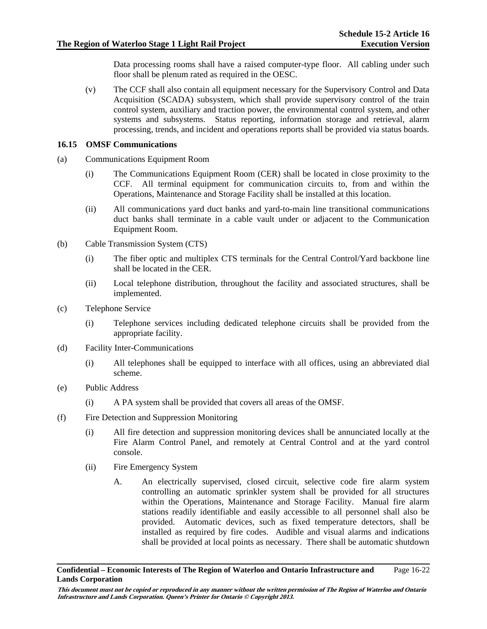Data processing rooms shall have a raised computer-type floor. All cabling under such floor shall be plenum rated as required in the OESC.

(v) The CCF shall also contain all equipment necessary for the Supervisory Control and Data Acquisition (SCADA) subsystem, which shall provide supervisory control of the train control system, auxiliary and traction power, the environmental control system, and other systems and subsystems. Status reporting, information storage and retrieval, alarm processing, trends, and incident and operations reports shall be provided via status boards.

#### **16.15 OMSF Communications**

- (a) Communications Equipment Room
	- (i) The Communications Equipment Room (CER) shall be located in close proximity to the CCF. All terminal equipment for communication circuits to, from and within the Operations, Maintenance and Storage Facility shall be installed at this location.
	- (ii) All communications yard duct banks and yard-to-main line transitional communications duct banks shall terminate in a cable vault under or adjacent to the Communication Equipment Room.
- (b) Cable Transmission System (CTS)
	- (i) The fiber optic and multiplex CTS terminals for the Central Control/Yard backbone line shall be located in the CER.
	- (ii) Local telephone distribution, throughout the facility and associated structures, shall be implemented.
- (c) Telephone Service
	- (i) Telephone services including dedicated telephone circuits shall be provided from the appropriate facility.
- (d) Facility Inter-Communications
	- (i) All telephones shall be equipped to interface with all offices, using an abbreviated dial scheme.
- (e) Public Address
	- (i) A PA system shall be provided that covers all areas of the OMSF.
- (f) Fire Detection and Suppression Monitoring
	- (i) All fire detection and suppression monitoring devices shall be annunciated locally at the Fire Alarm Control Panel, and remotely at Central Control and at the yard control console.
	- (ii) Fire Emergency System
		- A. An electrically supervised, closed circuit, selective code fire alarm system controlling an automatic sprinkler system shall be provided for all structures within the Operations, Maintenance and Storage Facility. Manual fire alarm stations readily identifiable and easily accessible to all personnel shall also be provided. Automatic devices, such as fixed temperature detectors, shall be installed as required by fire codes. Audible and visual alarms and indications shall be provided at local points as necessary. There shall be automatic shutdown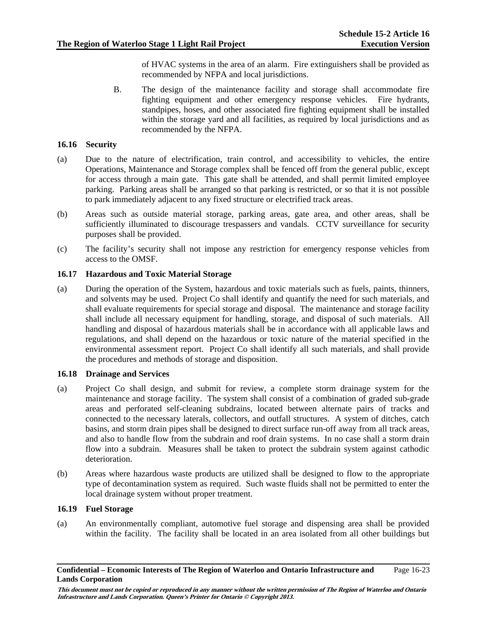of HVAC systems in the area of an alarm. Fire extinguishers shall be provided as recommended by NFPA and local jurisdictions.

B. The design of the maintenance facility and storage shall accommodate fire fighting equipment and other emergency response vehicles. Fire hydrants, standpipes, hoses, and other associated fire fighting equipment shall be installed within the storage yard and all facilities, as required by local jurisdictions and as recommended by the NFPA.

# **16.16 Security**

- (a) Due to the nature of electrification, train control, and accessibility to vehicles, the entire Operations, Maintenance and Storage complex shall be fenced off from the general public, except for access through a main gate. This gate shall be attended, and shall permit limited employee parking. Parking areas shall be arranged so that parking is restricted, or so that it is not possible to park immediately adjacent to any fixed structure or electrified track areas.
- (b) Areas such as outside material storage, parking areas, gate area, and other areas, shall be sufficiently illuminated to discourage trespassers and vandals. CCTV surveillance for security purposes shall be provided.
- (c) The facility's security shall not impose any restriction for emergency response vehicles from access to the OMSF.

#### **16.17 Hazardous and Toxic Material Storage**

(a) During the operation of the System, hazardous and toxic materials such as fuels, paints, thinners, and solvents may be used. Project Co shall identify and quantify the need for such materials, and shall evaluate requirements for special storage and disposal. The maintenance and storage facility shall include all necessary equipment for handling, storage, and disposal of such materials. All handling and disposal of hazardous materials shall be in accordance with all applicable laws and regulations, and shall depend on the hazardous or toxic nature of the material specified in the environmental assessment report. Project Co shall identify all such materials, and shall provide the procedures and methods of storage and disposition.

#### **16.18 Drainage and Services**

- (a) Project Co shall design, and submit for review, a complete storm drainage system for the maintenance and storage facility. The system shall consist of a combination of graded sub-grade areas and perforated self-cleaning subdrains, located between alternate pairs of tracks and connected to the necessary laterals, collectors, and outfall structures. A system of ditches, catch basins, and storm drain pipes shall be designed to direct surface run-off away from all track areas, and also to handle flow from the subdrain and roof drain systems. In no case shall a storm drain flow into a subdrain. Measures shall be taken to protect the subdrain system against cathodic deterioration.
- (b) Areas where hazardous waste products are utilized shall be designed to flow to the appropriate type of decontamination system as required. Such waste fluids shall not be permitted to enter the local drainage system without proper treatment.

#### **16.19 Fuel Storage**

(a) An environmentally compliant, automotive fuel storage and dispensing area shall be provided within the facility. The facility shall be located in an area isolated from all other buildings but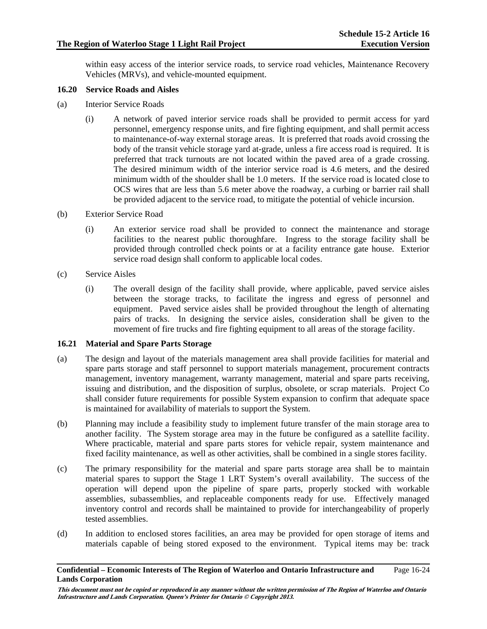within easy access of the interior service roads, to service road vehicles, Maintenance Recovery Vehicles (MRVs), and vehicle-mounted equipment.

#### **16.20 Service Roads and Aisles**

- (a) Interior Service Roads
	- (i) A network of paved interior service roads shall be provided to permit access for yard personnel, emergency response units, and fire fighting equipment, and shall permit access to maintenance-of-way external storage areas. It is preferred that roads avoid crossing the body of the transit vehicle storage yard at-grade, unless a fire access road is required. It is preferred that track turnouts are not located within the paved area of a grade crossing. The desired minimum width of the interior service road is 4.6 meters, and the desired minimum width of the shoulder shall be 1.0 meters. If the service road is located close to OCS wires that are less than 5.6 meter above the roadway, a curbing or barrier rail shall be provided adjacent to the service road, to mitigate the potential of vehicle incursion.
- (b) Exterior Service Road
	- (i) An exterior service road shall be provided to connect the maintenance and storage facilities to the nearest public thoroughfare. Ingress to the storage facility shall be provided through controlled check points or at a facility entrance gate house. Exterior service road design shall conform to applicable local codes.
- (c) Service Aisles
	- (i) The overall design of the facility shall provide, where applicable, paved service aisles between the storage tracks, to facilitate the ingress and egress of personnel and equipment. Paved service aisles shall be provided throughout the length of alternating pairs of tracks. In designing the service aisles, consideration shall be given to the movement of fire trucks and fire fighting equipment to all areas of the storage facility.

#### **16.21 Material and Spare Parts Storage**

- (a) The design and layout of the materials management area shall provide facilities for material and spare parts storage and staff personnel to support materials management, procurement contracts management, inventory management, warranty management, material and spare parts receiving, issuing and distribution, and the disposition of surplus, obsolete, or scrap materials. Project Co shall consider future requirements for possible System expansion to confirm that adequate space is maintained for availability of materials to support the System.
- (b) Planning may include a feasibility study to implement future transfer of the main storage area to another facility. The System storage area may in the future be configured as a satellite facility. Where practicable, material and spare parts stores for vehicle repair, system maintenance and fixed facility maintenance, as well as other activities, shall be combined in a single stores facility.
- (c) The primary responsibility for the material and spare parts storage area shall be to maintain material spares to support the Stage 1 LRT System's overall availability. The success of the operation will depend upon the pipeline of spare parts, properly stocked with workable assemblies, subassemblies, and replaceable components ready for use. Effectively managed inventory control and records shall be maintained to provide for interchangeability of properly tested assemblies.
- (d) In addition to enclosed stores facilities, an area may be provided for open storage of items and materials capable of being stored exposed to the environment. Typical items may be: track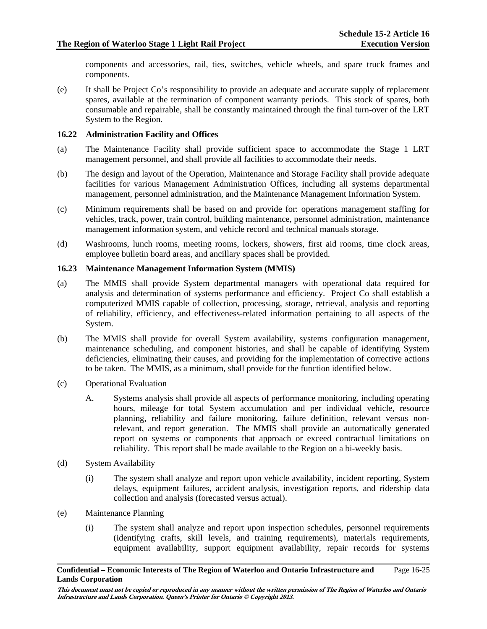components and accessories, rail, ties, switches, vehicle wheels, and spare truck frames and components.

(e) It shall be Project Co's responsibility to provide an adequate and accurate supply of replacement spares, available at the termination of component warranty periods. This stock of spares, both consumable and repairable, shall be constantly maintained through the final turn-over of the LRT System to the Region.

# **16.22 Administration Facility and Offices**

- (a) The Maintenance Facility shall provide sufficient space to accommodate the Stage 1 LRT management personnel, and shall provide all facilities to accommodate their needs.
- (b) The design and layout of the Operation, Maintenance and Storage Facility shall provide adequate facilities for various Management Administration Offices, including all systems departmental management, personnel administration, and the Maintenance Management Information System.
- (c) Minimum requirements shall be based on and provide for: operations management staffing for vehicles, track, power, train control, building maintenance, personnel administration, maintenance management information system, and vehicle record and technical manuals storage.
- (d) Washrooms, lunch rooms, meeting rooms, lockers, showers, first aid rooms, time clock areas, employee bulletin board areas, and ancillary spaces shall be provided.

#### **16.23 Maintenance Management Information System (MMIS)**

- (a) The MMIS shall provide System departmental managers with operational data required for analysis and determination of systems performance and efficiency. Project Co shall establish a computerized MMIS capable of collection, processing, storage, retrieval, analysis and reporting of reliability, efficiency, and effectiveness-related information pertaining to all aspects of the System.
- (b) The MMIS shall provide for overall System availability, systems configuration management, maintenance scheduling, and component histories, and shall be capable of identifying System deficiencies, eliminating their causes, and providing for the implementation of corrective actions to be taken. The MMIS, as a minimum, shall provide for the function identified below.
- (c) Operational Evaluation
	- A. Systems analysis shall provide all aspects of performance monitoring, including operating hours, mileage for total System accumulation and per individual vehicle, resource planning, reliability and failure monitoring, failure definition, relevant versus nonrelevant, and report generation. The MMIS shall provide an automatically generated report on systems or components that approach or exceed contractual limitations on reliability. This report shall be made available to the Region on a bi-weekly basis.
- (d) System Availability
	- (i) The system shall analyze and report upon vehicle availability, incident reporting, System delays, equipment failures, accident analysis, investigation reports, and ridership data collection and analysis (forecasted versus actual).
- (e) Maintenance Planning
	- (i) The system shall analyze and report upon inspection schedules, personnel requirements (identifying crafts, skill levels, and training requirements), materials requirements, equipment availability, support equipment availability, repair records for systems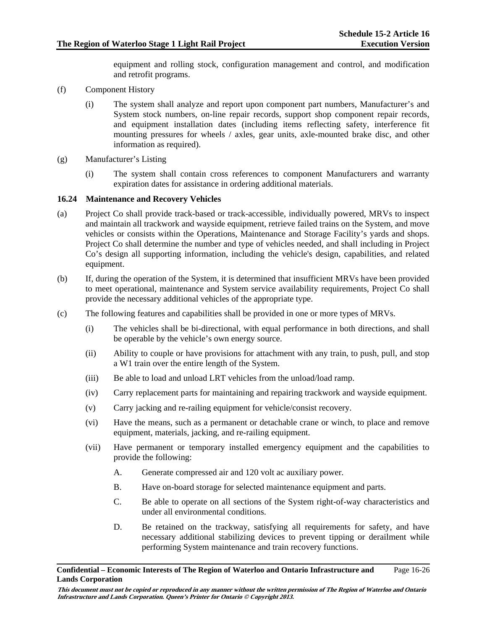equipment and rolling stock, configuration management and control, and modification and retrofit programs.

- (f) Component History
	- (i) The system shall analyze and report upon component part numbers, Manufacturer's and System stock numbers, on-line repair records, support shop component repair records, and equipment installation dates (including items reflecting safety, interference fit mounting pressures for wheels / axles, gear units, axle-mounted brake disc, and other information as required).
- (g) Manufacturer's Listing
	- (i) The system shall contain cross references to component Manufacturers and warranty expiration dates for assistance in ordering additional materials.

#### **16.24 Maintenance and Recovery Vehicles**

- (a) Project Co shall provide track-based or track-accessible, individually powered, MRVs to inspect and maintain all trackwork and wayside equipment, retrieve failed trains on the System, and move vehicles or consists within the Operations, Maintenance and Storage Facility's yards and shops. Project Co shall determine the number and type of vehicles needed, and shall including in Project Co's design all supporting information, including the vehicle's design, capabilities, and related equipment.
- (b) If, during the operation of the System, it is determined that insufficient MRVs have been provided to meet operational, maintenance and System service availability requirements, Project Co shall provide the necessary additional vehicles of the appropriate type.
- (c) The following features and capabilities shall be provided in one or more types of MRVs.
	- (i) The vehicles shall be bi-directional, with equal performance in both directions, and shall be operable by the vehicle's own energy source.
	- (ii) Ability to couple or have provisions for attachment with any train, to push, pull, and stop a W1 train over the entire length of the System.
	- (iii) Be able to load and unload LRT vehicles from the unload/load ramp.
	- (iv) Carry replacement parts for maintaining and repairing trackwork and wayside equipment.
	- (v) Carry jacking and re-railing equipment for vehicle/consist recovery.
	- (vi) Have the means, such as a permanent or detachable crane or winch, to place and remove equipment, materials, jacking, and re-railing equipment.
	- (vii) Have permanent or temporary installed emergency equipment and the capabilities to provide the following:
		- A. Generate compressed air and 120 volt ac auxiliary power.
		- B. Have on-board storage for selected maintenance equipment and parts.
		- C. Be able to operate on all sections of the System right-of-way characteristics and under all environmental conditions.
		- D. Be retained on the trackway, satisfying all requirements for safety, and have necessary additional stabilizing devices to prevent tipping or derailment while performing System maintenance and train recovery functions.

#### **Confidential – Economic Interests of The Region of Waterloo and Ontario Infrastructure and Lands Corporation**  Page 16-26